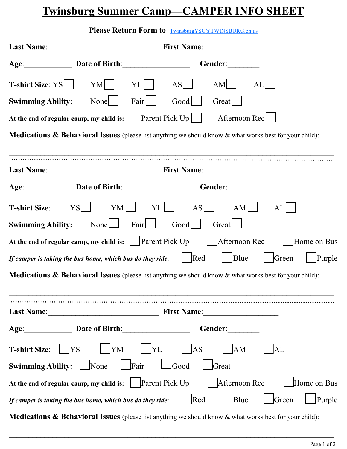## **Twinsburg Summer Camp—CAMPER INFO SHEET**

|                                                                                                                       |             | <b>Please Return Form to TwinsburgYSC@TWINSBURG.oh.us</b> |                |                                                  |       |             |
|-----------------------------------------------------------------------------------------------------------------------|-------------|-----------------------------------------------------------|----------------|--------------------------------------------------|-------|-------------|
| <b>Last Name:</b>                                                                                                     | First Name: |                                                           |                |                                                  |       |             |
| Age: Date of Birth:                                                                                                   |             |                                                           |                | Gender:                                          |       |             |
| <b>T-shirt Size:</b> $YS$                                                                                             | $YM$        | YL                                                        | AS             | AM                                               | AL    |             |
| <b>Swimming Ability:</b>                                                                                              | None        | Fair $\vert$                                              | Good           | Great                                            |       |             |
| At the end of regular camp, my child is: Parent Pick $Up \mid$                                                        |             |                                                           |                | Afternoon Rec                                    |       |             |
| <b>Medications &amp; Behavioral Issues</b> (please list anything we should know $\&$ what works best for your child): |             |                                                           |                |                                                  |       |             |
|                                                                                                                       |             |                                                           |                |                                                  |       |             |
|                                                                                                                       |             |                                                           |                |                                                  |       |             |
| Age: Date of Birth:                                                                                                   |             |                                                           |                | Gender:                                          |       |             |
| <b>T-shirt Size:</b>                                                                                                  | $YS$   $YM$ | $YL$                                                      |                | $\begin{array}{c c c c c} A S & A M \end{array}$ | AL    |             |
| <b>Swimming Ability:</b> None                                                                                         |             | Fair                                                      | $Good$         | Great                                            |       |             |
| At the end of regular camp, my child is: $\Box$ Parent Pick Up                                                        |             |                                                           |                | Afternoon Rec                                    |       | Home on Bus |
| If camper is taking the bus home, which bus do they ride: $\Box$ Red                                                  |             |                                                           |                | Blue                                             | Green | Purple      |
| <b>Medications &amp; Behavioral Issues</b> (please list anything we should know $\&$ what works best for your child): |             |                                                           |                |                                                  |       |             |
|                                                                                                                       |             |                                                           |                | First Name: 1988                                 |       |             |
| Age: <u>Date of Birth:</u>                                                                                            |             |                                                           |                | Gender: ________                                 |       |             |
| T-shirt Size:       YS                                                                                                | YM          | $ $ YL                                                    | $ $ AS         | AM                                               | AL    |             |
| <b>Swimming Ability:</b> $\Box$ None                                                                                  |             | $\Box$ Fair                                               | $\lfloor$ Good | Great                                            |       |             |
|                                                                                                                       |             |                                                           |                |                                                  |       | Home on Bus |
| If camper is taking the bus home, which bus do they ride:                                                             |             |                                                           | Red            | $\vert$ Blue                                     | Green | Purple      |

**Medications & Behavioral Issues** (please list anything we should know & what works best for your child):

 $\mathcal{L}_\mathcal{L} = \mathcal{L}_\mathcal{L} = \mathcal{L}_\mathcal{L} = \mathcal{L}_\mathcal{L} = \mathcal{L}_\mathcal{L} = \mathcal{L}_\mathcal{L} = \mathcal{L}_\mathcal{L} = \mathcal{L}_\mathcal{L} = \mathcal{L}_\mathcal{L} = \mathcal{L}_\mathcal{L} = \mathcal{L}_\mathcal{L} = \mathcal{L}_\mathcal{L} = \mathcal{L}_\mathcal{L} = \mathcal{L}_\mathcal{L} = \mathcal{L}_\mathcal{L} = \mathcal{L}_\mathcal{L} = \mathcal{L}_\mathcal{L}$